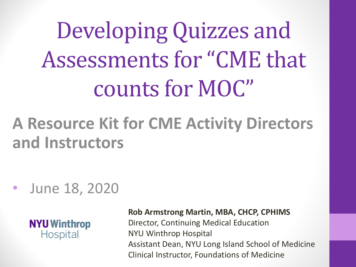Developing Quizzes and Assessments for "CME that counts for MOC"

## **A Resource Kit for CME Activity Directors and Instructors**

• June 18, 2020



**Rob Armstrong Martin, MBA, CHCP, CPHIMS**

Director, Continuing Medical Education NYU Winthrop Hospital Assistant Dean, NYU Long Island School of Medicine Clinical Instructor, Foundations of Medicine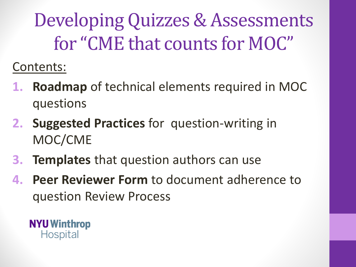Developing Quizzes & Assessments for "CME that counts for MOC"

Contents:

- **1. Roadmap** of technical elements required in MOC questions
- **2. Suggested Practices** for question-writing in MOC/CME
- **3. Templates** that question authors can use
- **4. Peer Reviewer Form** to document adherence to question Review Process

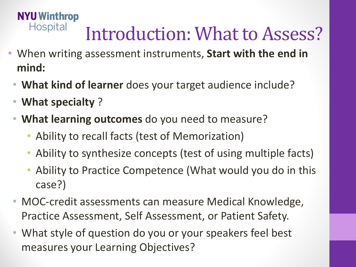### **NYU Winthrop Hospital** Introduction: What to Assess?

- When writing assessment instruments, **Start with the end in mind:**
	- **What kind of learner** does your target audience include?
	- **What specialty** ?
	- **What learning outcomes** do you need to measure?
		- Ability to recall facts (test of Memorization)
		- Ability to synthesize concepts (test of using multiple facts)
		- Ability to Practice Competence (What would you do in this case?)
	- MOC-credit assessments can measure Medical Knowledge, Practice Assessment, Self Assessment, or Patient Safety.
	- What style of question do you or your speakers feel best measures your Learning Objectives?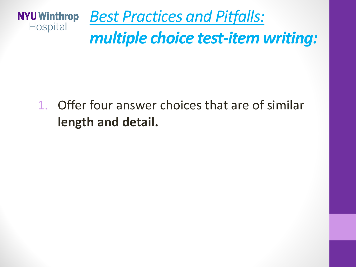

## *multiple choice test-item writing:*

## 1. Offer four answer choices that are of similar **length and detail.**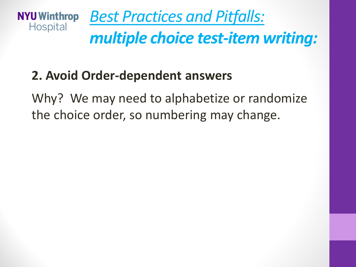

### **2. Avoid Order-dependent answers**

Why? We may need to alphabetize or randomize the choice order, so numbering may change.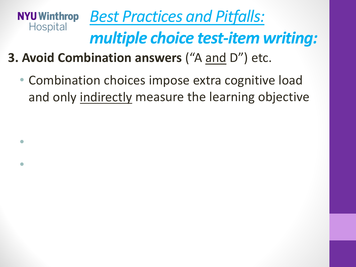#### *Best Practices and Pitfalls:*  **NYU Winthrop** Hospital *multiple choice test-item writing:*

- **3. Avoid Combination answers** ("A and D") etc.
	- Combination choices impose extra cognitive load and only indirectly measure the learning objective

- Good Exam
- Bad Example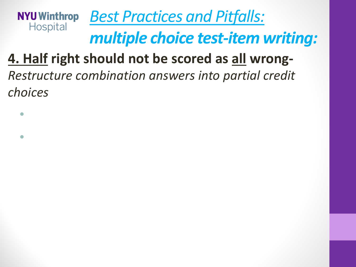#### *Best Practices and Pitfalls:*  **NYU Winthrop** Hospital

## *multiple choice test-item writing:*

## **4. Half right should not be scored as all wrong-**

*Restructure combination answers into partial credit choices*

- Good Example
- $\bullet$  Bad Ex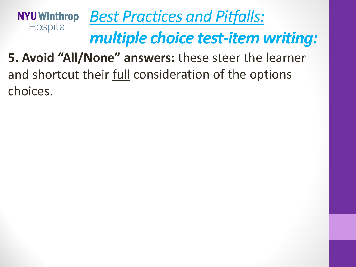#### *Best Practices and Pitfalls:*  **NYU Winthrop Hospital** *multiple choice test-item writing:*

**5. Avoid "All/None" answers:** these steer the learner and shortcut their full consideration of the options choices.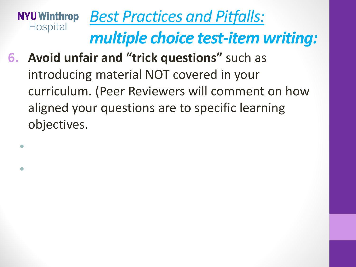#### *Best Practices and Pitfalls:*  **NYU Winthrop Hospital** *multiple choice test-item writing:*

- **6. Avoid unfair and "trick questions"** such as introducing material NOT covered in your curriculum. (Peer Reviewers will comment on how aligned your questions are to specific learning objectives.
	- Good Exan
	- Bad Example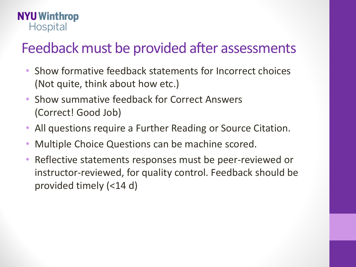### **NYU Winthrop Hospital**

## Feedback must be provided after assessments

- Show formative feedback statements for Incorrect choices (Not quite, think about how etc.)
- Show summative feedback for Correct Answers (Correct! Good Job)
- All questions require a Further Reading or Source Citation.
- Multiple Choice Questions can be machine scored.
- Reflective statements responses must be peer-reviewed or instructor-reviewed, for quality control. Feedback should be provided timely (<14 d)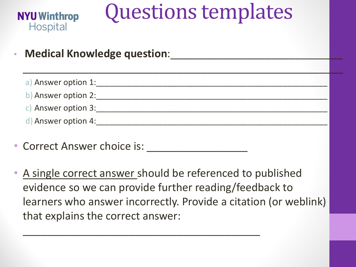

# Questions templates

**Medical Knowledge question:** 

| a) Answer option 1: |  |
|---------------------|--|
| b) Answer option 2: |  |
| c) Answer option 3: |  |
| d) Answer option 4: |  |

 $\frac{1}{2}$  ,  $\frac{1}{2}$  ,  $\frac{1}{2}$  ,  $\frac{1}{2}$  ,  $\frac{1}{2}$  ,  $\frac{1}{2}$  ,  $\frac{1}{2}$  ,  $\frac{1}{2}$  ,  $\frac{1}{2}$  ,  $\frac{1}{2}$  ,  $\frac{1}{2}$  ,  $\frac{1}{2}$  ,  $\frac{1}{2}$  ,  $\frac{1}{2}$  ,  $\frac{1}{2}$  ,  $\frac{1}{2}$  ,  $\frac{1}{2}$  ,  $\frac{1}{2}$  ,  $\frac{1$ 

- Correct Answer choice is:
- A single correct answer should be referenced to published evidence so we can provide further reading/feedback to learners who answer incorrectly. Provide a citation (or weblink) that explains the correct answer:

 $\mathcal{L}_\mathcal{A}$  , and the contract of the contract of  $\mathcal{L}_\mathcal{A}$  ,  $\mathcal{L}_\mathcal{A}$  ,  $\mathcal{L}_\mathcal{A}$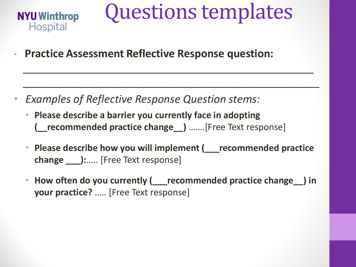

# Questions templates

• **Practice Assessment Reflective Response question:** 

- *Examples of Reflective Response Question stems:*
	- **Please describe a barrier you currently face in adopting (\_\_recommended practice change\_\_)** …….[Free Text response]
	- **Please describe how you will implement (\_\_\_recommended practice change \_\_\_):**….. [Free Text response]

 $\frac{1}{2}$  ,  $\frac{1}{2}$  ,  $\frac{1}{2}$  ,  $\frac{1}{2}$  ,  $\frac{1}{2}$  ,  $\frac{1}{2}$  ,  $\frac{1}{2}$  ,  $\frac{1}{2}$  ,  $\frac{1}{2}$  ,  $\frac{1}{2}$  ,  $\frac{1}{2}$  ,  $\frac{1}{2}$  ,  $\frac{1}{2}$  ,  $\frac{1}{2}$  ,  $\frac{1}{2}$  ,  $\frac{1}{2}$  ,  $\frac{1}{2}$  ,  $\frac{1}{2}$  ,  $\frac{1$ 

 $\frac{1}{2}$ 

• **How often do you currently (\_\_\_recommended practice change\_\_) in your practice?** ….. [Free Text response]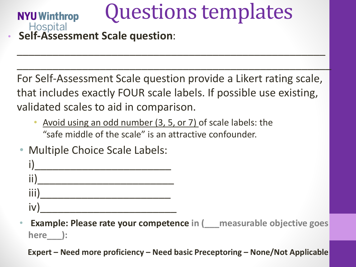# Questions templates

• **Self-Assessment Scale question**:

**NYU Winthrop** 

For Self-Assessment Scale question provide a Likert rating scale, that includes exactly FOUR scale labels. If possible use existing, validated scales to aid in comparison.

 $\frac{1}{2}$ 

 $\frac{1}{2}$ 

- Avoid using an odd number (3, 5, or 7) of scale labels: the "safe middle of the scale" is an attractive confounder.
- Multiple Choice Scale Labels:



• **Example: Please rate your competence in (\_\_\_measurable objective goes here\_\_\_):** 

**Expert – Need more proficiency – Need basic Preceptoring – None/Not Applicable**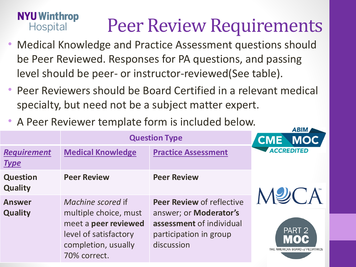## Peer Review Requirements

- Medical Knowledge and Practice Assessment questions should be Peer Reviewed. Responses for PA questions, and passing level should be peer- or instructor-reviewed(See table).
- Peer Reviewers should be Board Certified in a relevant medical specialty, but need not be a subject matter expert.
- A Peer Reviewer template form is included below.

**NYU Winthrop** 

**Hospital** 

|                                   |                                                                                                                                    | ADIN <sub>I</sub>                                                                                                              |                                                              |
|-----------------------------------|------------------------------------------------------------------------------------------------------------------------------------|--------------------------------------------------------------------------------------------------------------------------------|--------------------------------------------------------------|
|                                   | <b>Question Type</b>                                                                                                               |                                                                                                                                | <b>MOC</b><br><b>CME</b>                                     |
| <b>Requirement</b><br><u>Type</u> | <b>Medical Knowledge</b>                                                                                                           | <b>Practice Assessment</b>                                                                                                     | <b>ACCREDITED</b>                                            |
| <b>Question</b><br><b>Quality</b> | <b>Peer Review</b>                                                                                                                 | <b>Peer Review</b>                                                                                                             |                                                              |
| <b>Answer</b><br><b>Quality</b>   | Machine scored if<br>multiple choice, must<br>meet a peer reviewed<br>level of satisfactory<br>completion, usually<br>70% correct. | <b>Peer Review of reflective</b><br>answer; or Moderator's<br>assessment of individual<br>participation in group<br>discussion | PART <sub>2</sub><br>MOC<br>THE AMERICAN BOARD of PEDIATRICS |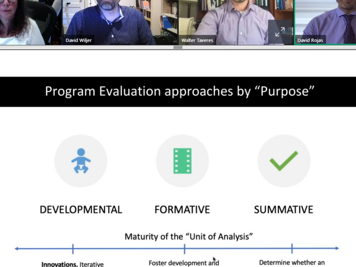

## Program Evaluation approaches by "Purpose"

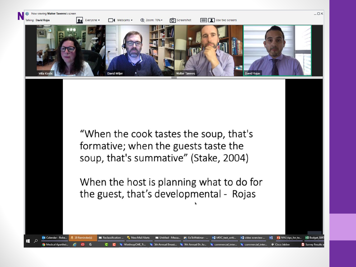

"When the cook tastes the soup, that's formative; when the guests taste the soup, that's summative" (Stake, 2004)

When the host is planning what to do for the guest, that's developmental - Rojas

**De** Untitled - Messa..

w] MOC\_test\_writi...

commercial inter...

**But** GoToWebinar - ...

9th Annual Dr. Jo...

w] video overview ...

commercial inter.

P3 NYU\_tips\_for\_te...

Cisco Jabber

Vī

**X** Budget\_SBR

Survey Results

02 Calendar - Robe..

**Medical Aparthe** 

Reclassification ...

New Mail Alerts

'inthronCME\_Ti